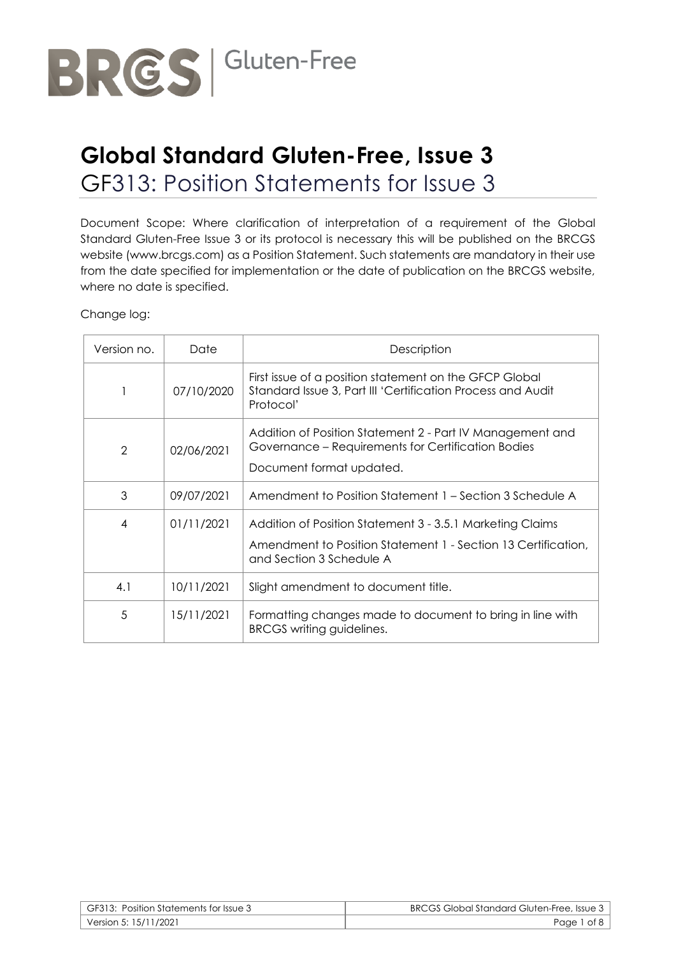

# **Global Standard Gluten-Free, Issue 3** GF313: Position Statements for Issue 3

Document Scope: Where clarification of interpretation of a requirement of the Global Standard Gluten-Free Issue 3 or its protocol is necessary this will be published on the BRCGS website (www.brcgs.com) as a Position Statement. Such statements are mandatory in their use from the date specified for implementation or the date of publication on the BRCGS website, where no date is specified.

Change log:

| Version no.    | Date       | Description                                                                                                                                            |
|----------------|------------|--------------------------------------------------------------------------------------------------------------------------------------------------------|
|                | 07/10/2020 | First issue of a position statement on the GFCP Global<br>Standard Issue 3, Part III 'Certification Process and Audit<br>Protocol'                     |
| $\overline{2}$ | 02/06/2021 | Addition of Position Statement 2 - Part IV Management and<br>Governance – Requirements for Certification Bodies<br>Document format updated.            |
| 3              | 09/07/2021 | Amendment to Position Statement 1 – Section 3 Schedule A                                                                                               |
| 4              | 01/11/2021 | Addition of Position Statement 3 - 3.5.1 Marketing Claims<br>Amendment to Position Statement 1 - Section 13 Certification,<br>and Section 3 Schedule A |
| 4.1            | 10/11/2021 | Slight amendment to document title.                                                                                                                    |
| 5              | 15/11/2021 | Formatting changes made to document to bring in line with<br>BRCGS writing guidelines.                                                                 |

| GF313: Position Statements for Issue 3 | <b>BRCGS Global Standard Gluten-Free, Issue 3</b> |
|----------------------------------------|---------------------------------------------------|
| Version 5: 15/11/2021                  | Page 1 of 8                                       |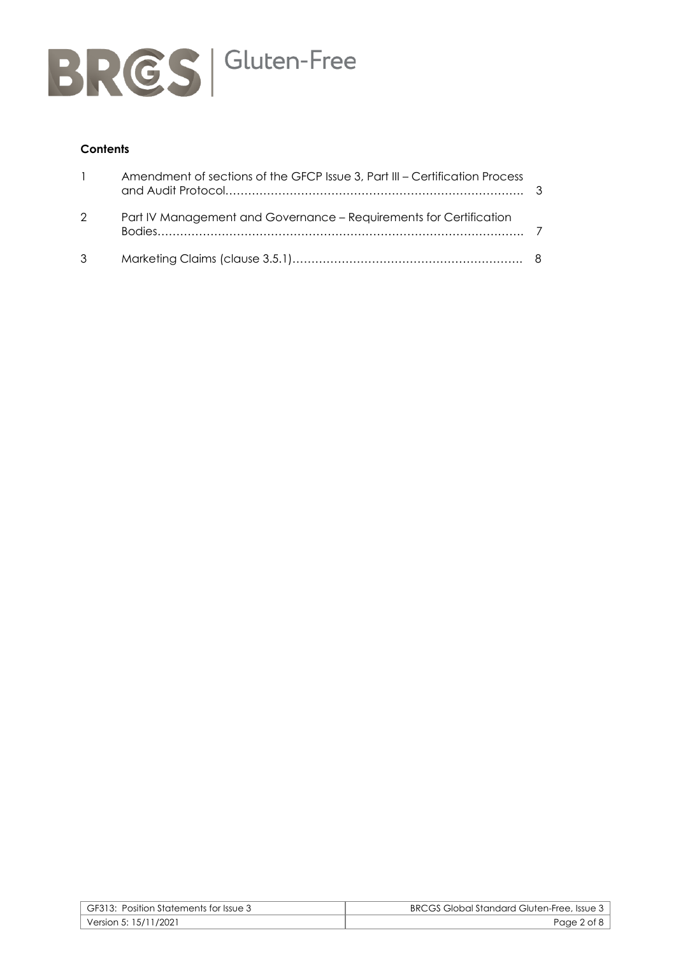

# **Contents**

| $\mathbf{1}$ | Amendment of sections of the GFCP Issue 3, Part III - Certification Process |  |
|--------------|-----------------------------------------------------------------------------|--|
| 2            | Part IV Management and Governance - Requirements for Certification          |  |
| $3^{\circ}$  |                                                                             |  |

| GF313: Position Statements for Issue 3 | BRCGS Global Standard Gluten-Free, Issue 3 |
|----------------------------------------|--------------------------------------------|
| Version 5: 15/11/2021                  | Page 2 of 8                                |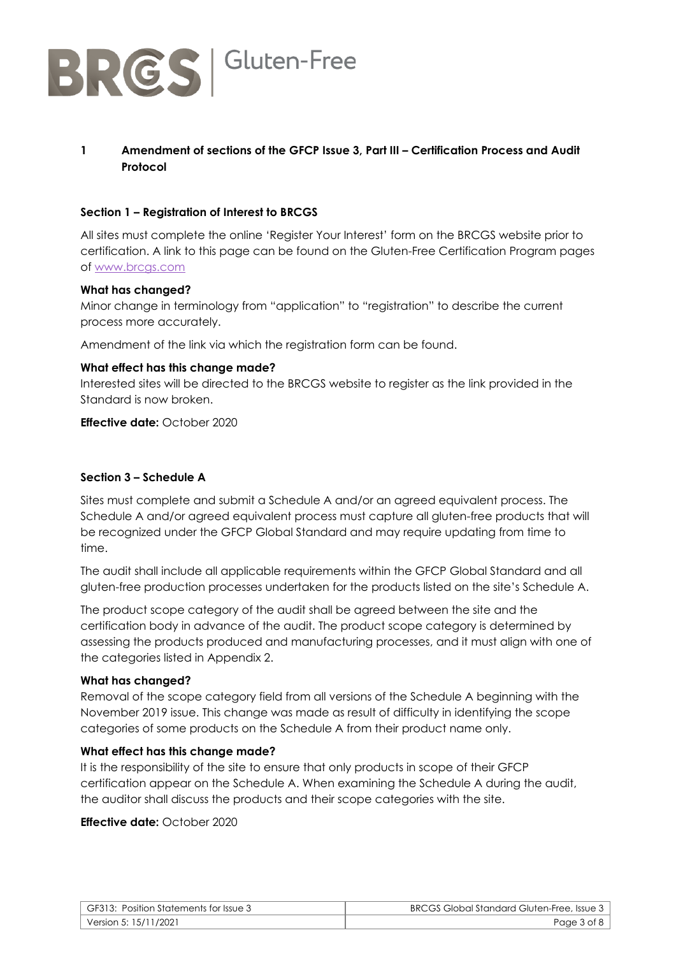

# **1 Amendment of sections of the GFCP Issue 3, Part III – Certification Process and Audit Protocol**

#### **Section 1 – Registration of Interest to BRCGS**

All sites must complete the online 'Register Your Interest' form on the BRCGS website prior to certification. A link to this page can be found on the Gluten-Free Certification Program pages of [www.brcgs.com](http://www.brcgs.com/)

#### **What has changed?**

Minor change in terminology from "application" to "registration" to describe the current process more accurately.

Amendment of the link via which the registration form can be found.

#### **What effect has this change made?**

Interested sites will be directed to the BRCGS website to register as the link provided in the Standard is now broken.

#### **Effective date:** October 2020

#### **Section 3 – Schedule A**

Sites must complete and submit a Schedule A and/or an agreed equivalent process. The Schedule A and/or agreed equivalent process must capture all gluten-free products that will be recognized under the GFCP Global Standard and may require updating from time to time.

The audit shall include all applicable requirements within the GFCP Global Standard and all gluten-free production processes undertaken for the products listed on the site's Schedule A.

The product scope category of the audit shall be agreed between the site and the certification body in advance of the audit. The product scope category is determined by assessing the products produced and manufacturing processes, and it must align with one of the categories listed in Appendix 2.

#### **What has changed?**

Removal of the scope category field from all versions of the Schedule A beginning with the November 2019 issue. This change was made as result of difficulty in identifying the scope categories of some products on the Schedule A from their product name only.

#### **What effect has this change made?**

It is the responsibility of the site to ensure that only products in scope of their GFCP certification appear on the Schedule A. When examining the Schedule A during the audit, the auditor shall discuss the products and their scope categories with the site.

#### **Effective date:** October 2020

| GF313: Position Statements for Issue 3 | <b>BRCGS Global Standard Gluten-Free, Issue 3</b> |
|----------------------------------------|---------------------------------------------------|
| Version 5: 15/11/2021                  | Page 3 of 8                                       |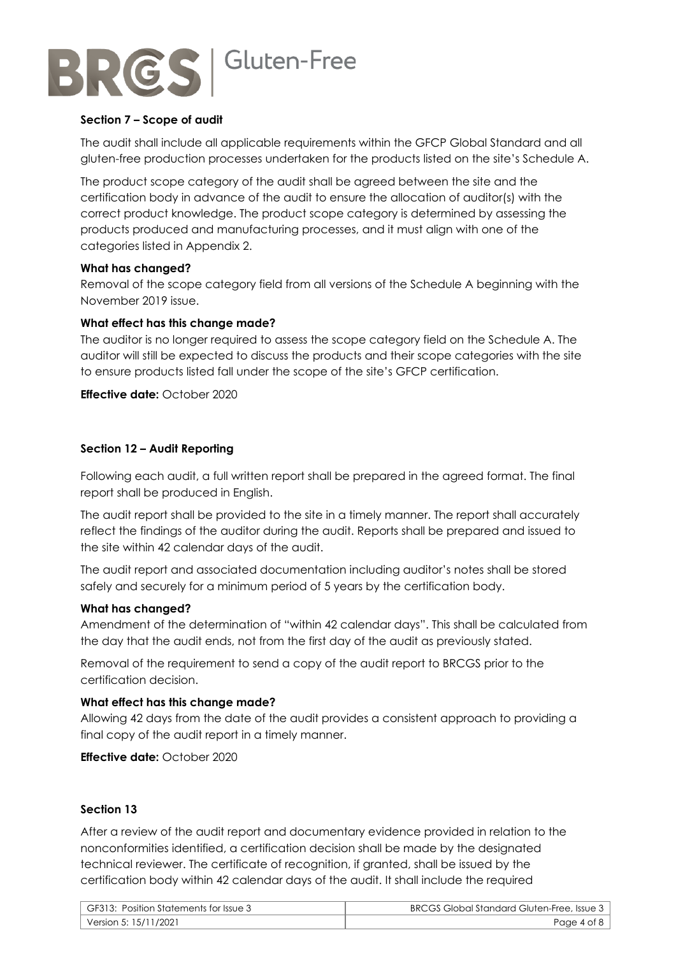

### **Section 7 – Scope of audit**

The audit shall include all applicable requirements within the GFCP Global Standard and all gluten-free production processes undertaken for the products listed on the site's Schedule A.

The product scope category of the audit shall be agreed between the site and the certification body in advance of the audit to ensure the allocation of auditor(s) with the correct product knowledge. The product scope category is determined by assessing the products produced and manufacturing processes, and it must align with one of the categories listed in Appendix 2.

#### **What has changed?**

Removal of the scope category field from all versions of the Schedule A beginning with the November 2019 issue.

#### **What effect has this change made?**

The auditor is no longer required to assess the scope category field on the Schedule A. The auditor will still be expected to discuss the products and their scope categories with the site to ensure products listed fall under the scope of the site's GFCP certification.

**Effective date:** October 2020

#### **Section 12 – Audit Reporting**

Following each audit, a full written report shall be prepared in the agreed format. The final report shall be produced in English.

The audit report shall be provided to the site in a timely manner. The report shall accurately reflect the findings of the auditor during the audit. Reports shall be prepared and issued to the site within 42 calendar days of the audit.

The audit report and associated documentation including auditor's notes shall be stored safely and securely for a minimum period of 5 years by the certification body.

#### **What has changed?**

Amendment of the determination of "within 42 calendar days". This shall be calculated from the day that the audit ends, not from the first day of the audit as previously stated.

Removal of the requirement to send a copy of the audit report to BRCGS prior to the certification decision.

# **What effect has this change made?**

Allowing 42 days from the date of the audit provides a consistent approach to providing a final copy of the audit report in a timely manner.

**Effective date:** October 2020

#### **Section 13**

After a review of the audit report and documentary evidence provided in relation to the nonconformities identified, a certification decision shall be made by the designated technical reviewer. The certificate of recognition, if granted, shall be issued by the certification body within 42 calendar days of the audit. It shall include the required

| GF313: Position Statements for Issue 3 | <b>BRCGS Global Standard Gluten-Free, Issue 3</b> |
|----------------------------------------|---------------------------------------------------|
| Version 5: 15/11/2021                  | Page 4 of 8                                       |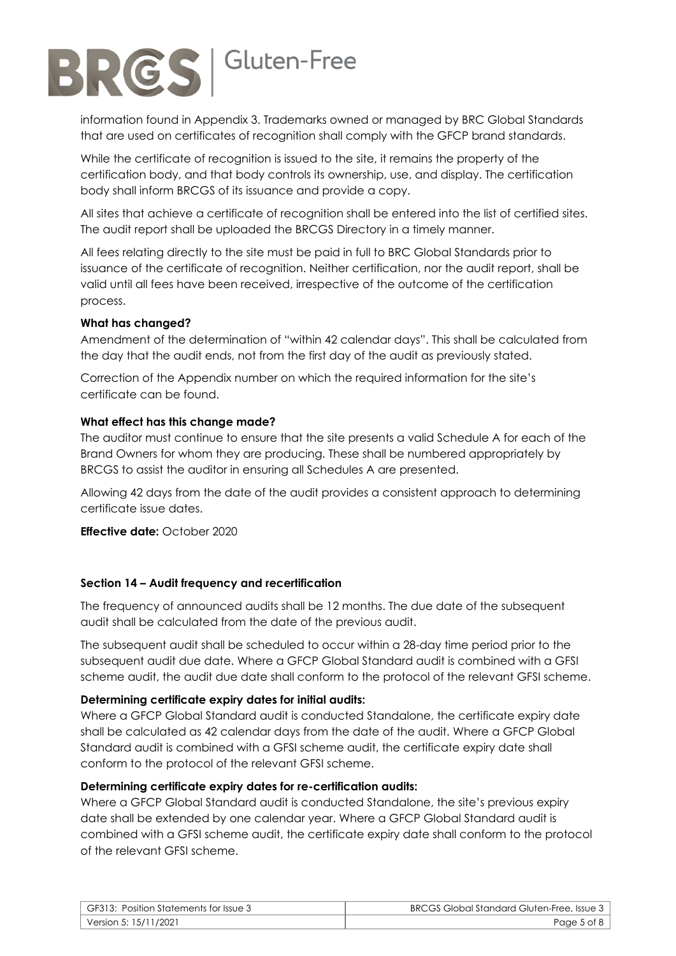

information found in Appendix 3. Trademarks owned or managed by BRC Global Standards that are used on certificates of recognition shall comply with the GFCP brand standards.

While the certificate of recognition is issued to the site, it remains the property of the certification body, and that body controls its ownership, use, and display. The certification body shall inform BRCGS of its issuance and provide a copy.

All sites that achieve a certificate of recognition shall be entered into the list of certified sites. The audit report shall be uploaded the BRCGS Directory in a timely manner.

All fees relating directly to the site must be paid in full to BRC Global Standards prior to issuance of the certificate of recognition. Neither certification, nor the audit report, shall be valid until all fees have been received, irrespective of the outcome of the certification process.

# **What has changed?**

Amendment of the determination of "within 42 calendar days". This shall be calculated from the day that the audit ends, not from the first day of the audit as previously stated.

Correction of the Appendix number on which the required information for the site's certificate can be found.

# **What effect has this change made?**

The auditor must continue to ensure that the site presents a valid Schedule A for each of the Brand Owners for whom they are producing. These shall be numbered appropriately by BRCGS to assist the auditor in ensuring all Schedules A are presented.

Allowing 42 days from the date of the audit provides a consistent approach to determining certificate issue dates.

**Effective date:** October 2020

# **Section 14 – Audit frequency and recertification**

The frequency of announced audits shall be 12 months. The due date of the subsequent audit shall be calculated from the date of the previous audit.

The subsequent audit shall be scheduled to occur within a 28-day time period prior to the subsequent audit due date. Where a GFCP Global Standard audit is combined with a GFSI scheme audit, the audit due date shall conform to the protocol of the relevant GFSI scheme.

# **Determining certificate expiry dates for initial audits:**

Where a GFCP Global Standard audit is conducted Standalone, the certificate expiry date shall be calculated as 42 calendar days from the date of the audit. Where a GFCP Global Standard audit is combined with a GFSI scheme audit, the certificate expiry date shall conform to the protocol of the relevant GFSI scheme.

# **Determining certificate expiry dates for re-certification audits:**

Where a GFCP Global Standard audit is conducted Standalone, the site's previous expiry date shall be extended by one calendar year. Where a GFCP Global Standard audit is combined with a GFSI scheme audit, the certificate expiry date shall conform to the protocol of the relevant GFSI scheme.

| GF313: Position Statements for Issue 3 | <b>BRCGS Global Standard Gluten-Free, Issue 3</b> |
|----------------------------------------|---------------------------------------------------|
| Version 5: 15/11/2021                  | Page 5 of 8                                       |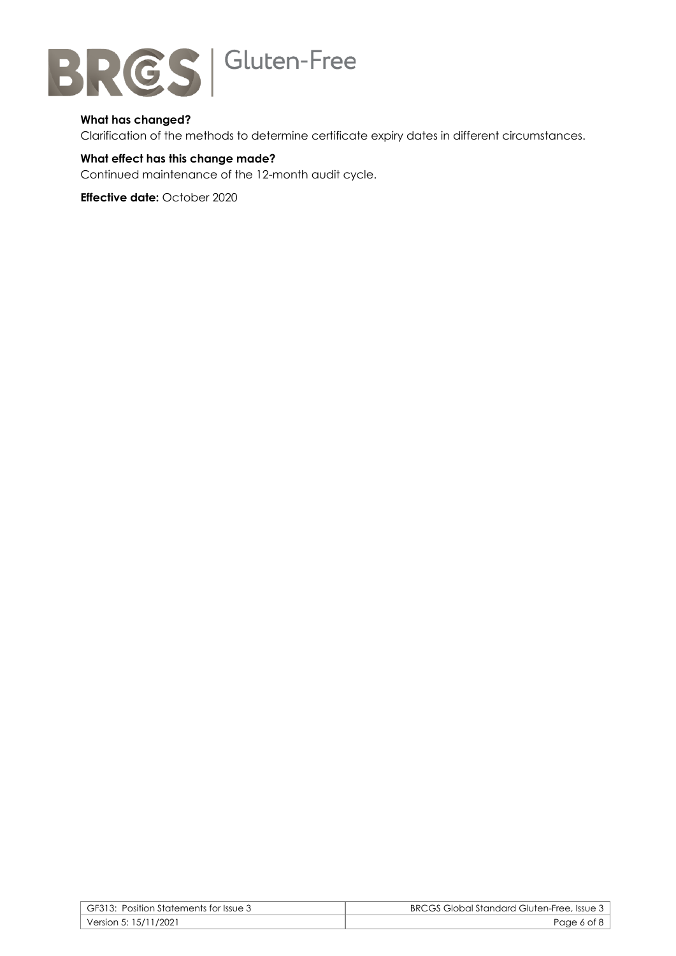

# **What has changed?**

Clarification of the methods to determine certificate expiry dates in different circumstances.

# **What effect has this change made?**

Continued maintenance of the 12-month audit cycle.

**Effective date:** October 2020

| GF313: Position Statements for Issue 3 | BRCGS Global Standard Gluten-Free, Issue 3 |
|----------------------------------------|--------------------------------------------|
| Version 5: 15/11/2021 Version          | Page 6 of 8                                |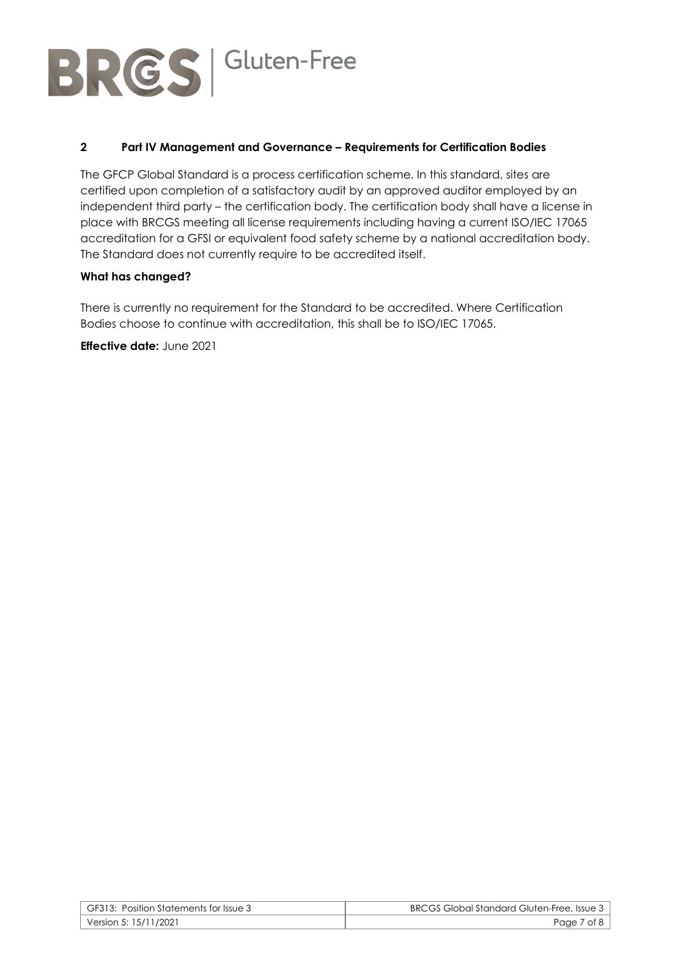

# **2 Part IV Management and Governance – Requirements for Certification Bodies**

The GFCP Global Standard is a process certification scheme. In this standard, sites are certified upon completion of a satisfactory audit by an approved auditor employed by an independent third party – the certification body. The certification body shall have a license in place with BRCGS meeting all license requirements including having a current ISO/IEC 17065 accreditation for a GFSI or equivalent food safety scheme by a national accreditation body. The Standard does not currently require to be accredited itself.

# **What has changed?**

There is currently no requirement for the Standard to be accredited. Where Certification Bodies choose to continue with accreditation, this shall be to ISO/IEC 17065.

**Effective date:** June 2021

| GF313: Position Statements for Issue 3 | <b>BRCGS Global Standard Gluten-Free, Issue 3</b> |
|----------------------------------------|---------------------------------------------------|
| Version 5: 15/11/2021                  | Page 7 of 8                                       |